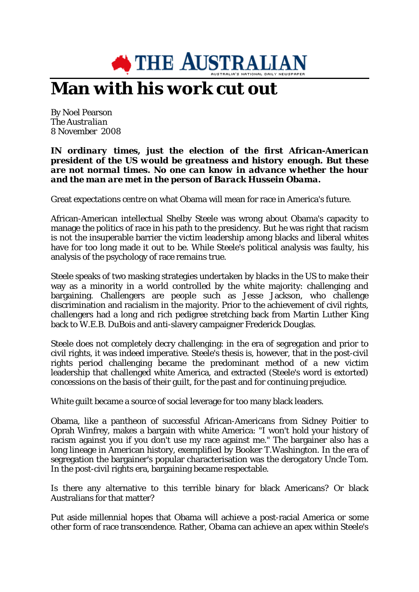

## **Man with his work cut out**

By Noel Pearson *The Australian* 8 November 2008

## *IN ordinary times, just the election of the first African-American president of the US would be greatness and history enough. But these are not normal times. No one can know in advance whether the hour and the man are met in the person of Barack Hussein Obama.*

Great expectations centre on what Obama will mean for race in America's future.

African-American intellectual Shelby Steele was wrong about Obama's capacity to manage the politics of race in his path to the presidency. But he was right that racism is not the insuperable barrier the victim leadership among blacks and liberal whites have for too long made it out to be. While Steele's political analysis was faulty, his analysis of the psychology of race remains true.

Steele speaks of two masking strategies undertaken by blacks in the US to make their way as a minority in a world controlled by the white majority: challenging and bargaining. Challengers are people such as Jesse Jackson, who challenge discrimination and racialism in the majority. Prior to the achievement of civil rights, challengers had a long and rich pedigree stretching back from Martin Luther King back to W.E.B. DuBois and anti-slavery campaigner Frederick Douglas.

Steele does not completely decry challenging: in the era of segregation and prior to civil rights, it was indeed imperative. Steele's thesis is, however, that in the post-civil rights period challenging became the predominant method of a new victim leadership that challenged white America, and extracted (Steele's word is extorted) concessions on the basis of their guilt, for the past and for continuing prejudice.

White guilt became a source of social leverage for too many black leaders.

Obama, like a pantheon of successful African-Americans from Sidney Poitier to Oprah Winfrey, makes a bargain with white America: "I won't hold your history of racism against you if you don't use my race against me." The bargainer also has a long lineage in American history, exemplified by Booker T.Washington. In the era of segregation the bargainer's popular characterisation was the derogatory Uncle Tom. In the post-civil rights era, bargaining became respectable.

Is there any alternative to this terrible binary for black Americans? Or black Australians for that matter?

Put aside millennial hopes that Obama will achieve a post-racial America or some other form of race transcendence. Rather, Obama can achieve an apex within Steele's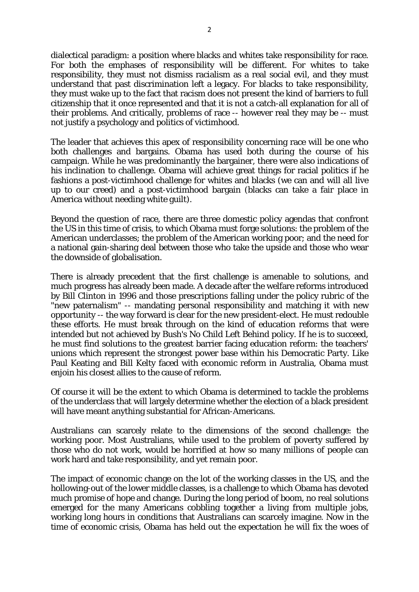dialectical paradigm: a position where blacks and whites take responsibility for race. For both the emphases of responsibility will be different. For whites to take responsibility, they must not dismiss racialism as a real social evil, and they must understand that past discrimination left a legacy. For blacks to take responsibility, they must wake up to the fact that racism does not present the kind of barriers to full citizenship that it once represented and that it is not a catch-all explanation for all of their problems. And critically, problems of race -- however real they may be -- must not justify a psychology and politics of victimhood.

The leader that achieves this apex of responsibility concerning race will be one who both challenges and bargains. Obama has used both during the course of his campaign. While he was predominantly the bargainer, there were also indications of his inclination to challenge. Obama will achieve great things for racial politics if he fashions a post-victimhood challenge for whites and blacks (we can and will all live up to our creed) and a post-victimhood bargain (blacks can take a fair place in America without needing white guilt).

Beyond the question of race, there are three domestic policy agendas that confront the US in this time of crisis, to which Obama must forge solutions: the problem of the American underclasses; the problem of the American working poor; and the need for a national gain-sharing deal between those who take the upside and those who wear the downside of globalisation.

There is already precedent that the first challenge is amenable to solutions, and much progress has already been made. A decade after the welfare reforms introduced by Bill Clinton in 1996 and those prescriptions falling under the policy rubric of the "new paternalism" -- mandating personal responsibility and matching it with new opportunity -- the way forward is clear for the new president-elect. He must redouble these efforts. He must break through on the kind of education reforms that were intended but not achieved by Bush's No Child Left Behind policy. If he is to succeed, he must find solutions to the greatest barrier facing education reform: the teachers' unions which represent the strongest power base within his Democratic Party. Like Paul Keating and Bill Kelty faced with economic reform in Australia, Obama must enjoin his closest allies to the cause of reform.

Of course it will be the extent to which Obama is determined to tackle the problems of the underclass that will largely determine whether the election of a black president will have meant anything substantial for African-Americans.

Australians can scarcely relate to the dimensions of the second challenge: the working poor. Most Australians, while used to the problem of poverty suffered by those who do not work, would be horrified at how so many millions of people can work hard and take responsibility, and yet remain poor.

The impact of economic change on the lot of the working classes in the US, and the hollowing-out of the lower middle classes, is a challenge to which Obama has devoted much promise of hope and change. During the long period of boom, no real solutions emerged for the many Americans cobbling together a living from multiple jobs, working long hours in conditions that Australians can scarcely imagine. Now in the time of economic crisis, Obama has held out the expectation he will fix the woes of